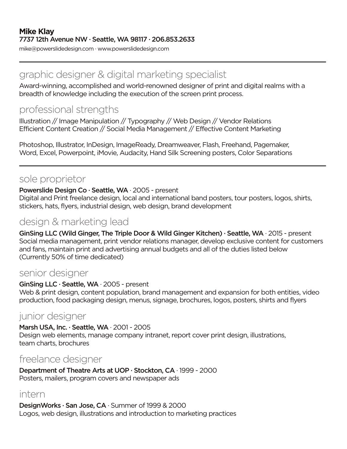mike@powerslidedesign.com · www.powerslidedesign.com

### graphic designer & digital marketing specialist

Award-winning, accomplished and world-renowned designer of print and digital realms with a breadth of knowledge including the execution of the screen print process.

# professional strengths

Illustration // Image Manipulation // Typography // Web Design // Vendor Relations Efficient Content Creation // Social Media Management // Effective Content Marketing

Photoshop, Illustrator, InDesign, ImageReady, Dreamweaver, Flash, Freehand, Pagemaker, Word, Excel, Powerpoint, iMovie, Audacity, Hand Silk Screening posters, Color Separations

## sole proprietor

#### Powerslide Design Co · Seattle, WA · 2005 - present

Digital and Print freelance design, local and international band posters, tour posters, logos, shirts, stickers, hats, flyers, industrial design, web design, brand development

## design & marketing lead

GinSing LLC (Wild Ginger, The Triple Door & Wild Ginger Kitchen) · Seattle, WA · 2015 - present Social media management, print vendor relations manager, develop exclusive content for customers and fans, maintain print and advertising annual budgets and all of the duties listed below (Currently 50% of time dedicated)

### senior designer

#### GinSing LLC · Seattle, WA · 2005 - present

Web & print design, content population, brand management and expansion for both entities, video production, food packaging design, menus, signage, brochures, logos, posters, shirts and flyers

## junior designer

Marsh USA, Inc. · Seattle, WA · 2001 - 2005 Design web elements, manage company intranet, report cover print design, illustrations, team charts, brochures

### freelance designer

Department of Theatre Arts at UOP · Stockton, CA · 1999 - 2000 Posters, mailers, program covers and newspaper ads

### intern

DesignWorks · San Jose, CA · Summer of 1999 & 2000 Logos, web design, illustrations and introduction to marketing practices